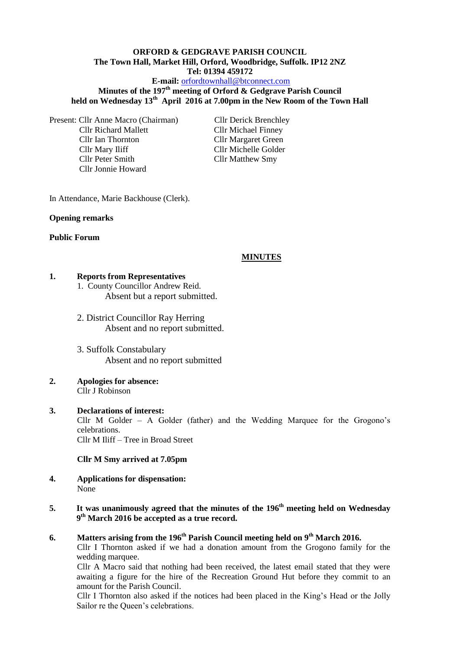# **ORFORD & GEDGRAVE PARISH COUNCIL The Town Hall, Market Hill, Orford, Woodbridge, Suffolk. IP12 2NZ Tel: 01394 459172**

### **E-mail:** [orfordtownhall@btconnect.com](mailto:orfordtownhall@btconnect.com)

# **Minutes of the 197th meeting of Orford & Gedgrave Parish Council held on Wednesday 13th April 2016 at 7.00pm in the New Room of the Town Hall**

Present: Cllr Anne Macro (Chairman) Cllr Derick Brenchley Cllr Richard Mallett Cllr Michael Finney Cllr Ian Thornton Cllr Margaret Green Cllr Mary Iliff Cllr Michelle Golder Cllr Peter Smith Cllr Matthew Smy Cllr Jonnie Howard

In Attendance, Marie Backhouse (Clerk).

#### **Opening remarks**

#### **Public Forum**

#### **MINUTES**

#### **1. Reports from Representatives**

1. County Councillor Andrew Reid. Absent but a report submitted.

- 2. District Councillor Ray Herring Absent and no report submitted.
- 3. Suffolk Constabulary Absent and no report submitted
- **2. Apologies for absence:** Cllr J Robinson

### **3. Declarations of interest:**  Cllr M Golder – A Golder (father) and the Wedding Marquee for the Grogono's celebrations. Cllr M Iliff – Tree in Broad Street

#### **Cllr M Smy arrived at 7.05pm**

- **4. Applications for dispensation:** None
- **5. It was unanimously agreed that the minutes of the 196th meeting held on Wednesday 9 th March 2016 be accepted as a true record.**
- **6. Matters arising from the 196th Parish Council meeting held on 9th March 2016.**

Cllr I Thornton asked if we had a donation amount from the Grogono family for the wedding marquee.

Cllr A Macro said that nothing had been received, the latest email stated that they were awaiting a figure for the hire of the Recreation Ground Hut before they commit to an amount for the Parish Council.

Cllr I Thornton also asked if the notices had been placed in the King's Head or the Jolly Sailor re the Queen's celebrations.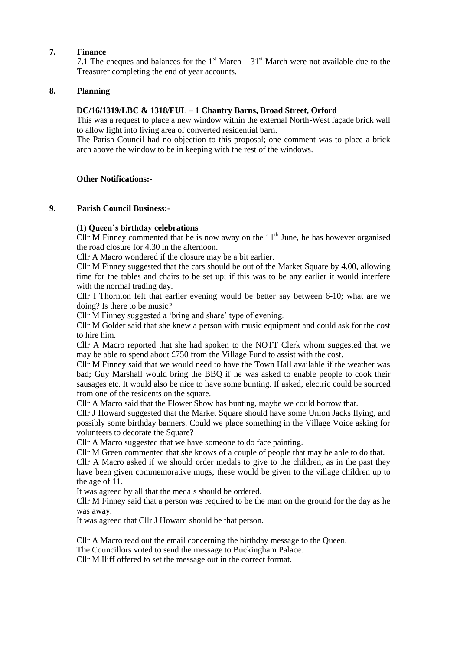### **7. Finance**

7.1 The cheques and balances for the  $1<sup>st</sup> March - 31<sup>st</sup> March$  were not available due to the Treasurer completing the end of year accounts.

#### **8. Planning**

### **DC/16/1319/LBC & 1318/FUL – 1 Chantry Barns, Broad Street, Orford**

This was a request to place a new window within the external North-West façade brick wall to allow light into living area of converted residential barn.

The Parish Council had no objection to this proposal; one comment was to place a brick arch above the window to be in keeping with the rest of the windows.

#### **Other Notifications:-**

#### **9. Parish Council Business:-**

### **(1) Queen's birthday celebrations**

Cllr M Finney commented that he is now away on the  $11<sup>th</sup>$  June, he has however organised the road closure for 4.30 in the afternoon.

Cllr A Macro wondered if the closure may be a bit earlier.

Cllr M Finney suggested that the cars should be out of the Market Square by 4.00, allowing time for the tables and chairs to be set up; if this was to be any earlier it would interfere with the normal trading day.

Cllr I Thornton felt that earlier evening would be better say between 6-10; what are we doing? Is there to be music?

Cllr M Finney suggested a 'bring and share' type of evening.

Cllr M Golder said that she knew a person with music equipment and could ask for the cost to hire him.

Cllr A Macro reported that she had spoken to the NOTT Clerk whom suggested that we may be able to spend about £750 from the Village Fund to assist with the cost.

Cllr M Finney said that we would need to have the Town Hall available if the weather was bad; Guy Marshall would bring the BBQ if he was asked to enable people to cook their sausages etc. It would also be nice to have some bunting. If asked, electric could be sourced from one of the residents on the square.

Cllr A Macro said that the Flower Show has bunting, maybe we could borrow that.

Cllr J Howard suggested that the Market Square should have some Union Jacks flying, and possibly some birthday banners. Could we place something in the Village Voice asking for volunteers to decorate the Square?

Cllr A Macro suggested that we have someone to do face painting.

Cllr M Green commented that she knows of a couple of people that may be able to do that.

Cllr A Macro asked if we should order medals to give to the children, as in the past they have been given commemorative mugs; these would be given to the village children up to the age of 11.

It was agreed by all that the medals should be ordered.

Cllr M Finney said that a person was required to be the man on the ground for the day as he was away.

It was agreed that Cllr J Howard should be that person.

Cllr A Macro read out the email concerning the birthday message to the Queen.

The Councillors voted to send the message to Buckingham Palace.

Cllr M Iliff offered to set the message out in the correct format.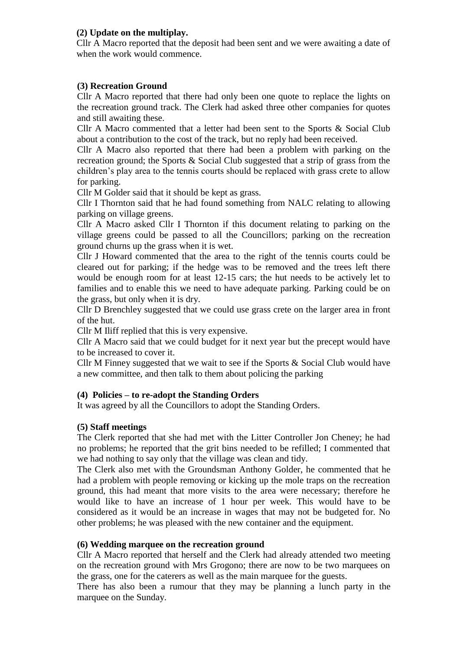# **(2) Update on the multiplay.**

Cllr A Macro reported that the deposit had been sent and we were awaiting a date of when the work would commence.

# **(3) Recreation Ground**

Cllr A Macro reported that there had only been one quote to replace the lights on the recreation ground track. The Clerk had asked three other companies for quotes and still awaiting these.

Cllr A Macro commented that a letter had been sent to the Sports & Social Club about a contribution to the cost of the track, but no reply had been received.

Cllr A Macro also reported that there had been a problem with parking on the recreation ground; the Sports & Social Club suggested that a strip of grass from the children's play area to the tennis courts should be replaced with grass crete to allow for parking.

Cllr M Golder said that it should be kept as grass.

Cllr I Thornton said that he had found something from NALC relating to allowing parking on village greens.

Cllr A Macro asked Cllr I Thornton if this document relating to parking on the village greens could be passed to all the Councillors; parking on the recreation ground churns up the grass when it is wet.

Cllr J Howard commented that the area to the right of the tennis courts could be cleared out for parking; if the hedge was to be removed and the trees left there would be enough room for at least 12-15 cars; the hut needs to be actively let to families and to enable this we need to have adequate parking. Parking could be on the grass, but only when it is dry.

Cllr D Brenchley suggested that we could use grass crete on the larger area in front of the hut.

Cllr M Iliff replied that this is very expensive.

Cllr A Macro said that we could budget for it next year but the precept would have to be increased to cover it.

Cllr M Finney suggested that we wait to see if the Sports & Social Club would have a new committee, and then talk to them about policing the parking

## **(4) Policies – to re-adopt the Standing Orders**

It was agreed by all the Councillors to adopt the Standing Orders.

## **(5) Staff meetings**

The Clerk reported that she had met with the Litter Controller Jon Cheney; he had no problems; he reported that the grit bins needed to be refilled; I commented that we had nothing to say only that the village was clean and tidy.

The Clerk also met with the Groundsman Anthony Golder, he commented that he had a problem with people removing or kicking up the mole traps on the recreation ground, this had meant that more visits to the area were necessary; therefore he would like to have an increase of 1 hour per week. This would have to be considered as it would be an increase in wages that may not be budgeted for. No other problems; he was pleased with the new container and the equipment.

## **(6) Wedding marquee on the recreation ground**

Cllr A Macro reported that herself and the Clerk had already attended two meeting on the recreation ground with Mrs Grogono; there are now to be two marquees on the grass, one for the caterers as well as the main marquee for the guests.

There has also been a rumour that they may be planning a lunch party in the marquee on the Sunday.